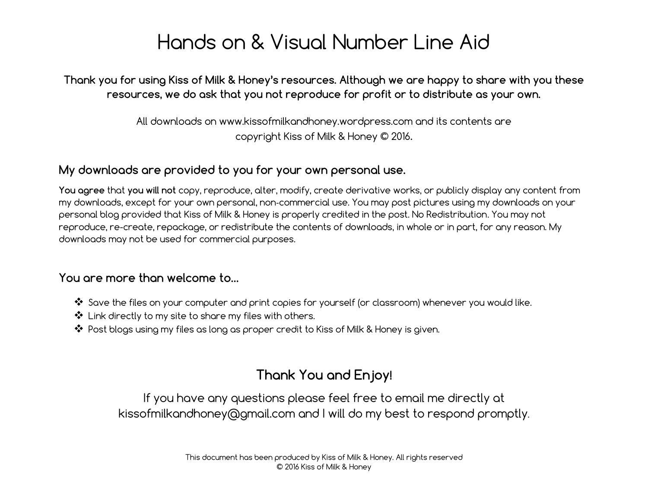## Hands on & Visual Number Line Aid

Thank you for using Kiss of Milk & Honey's resources. Although we are happy to share with you these resources, we do ask that you not reproduce for profit or to distribute as your own.

> All downloads on www.kissofmilkandhoney.wordpress.com and its contents are copyright Kiss of Milk & Honey © 2016.

### My downloads are provided to you for your own personal use.

You agree that you will not copy, reproduce, alter, modify, create derivative works, or publicly display any content from my downloads, except for your own personal, non‐commercial use. You may post pictures using my downloads on your personal blog provided that Kiss of Milk & Honey is properly credited in the post. No Redistribution. You may not reproduce, re-create, repackage, or redistribute the contents of downloads, in whole or in part, for any reason. My downloads may not be used for commercial purposes.

#### You are more than welcome to…

- ❖ Save the files on your computer and print copies for yourself (or classroom) whenever you would like.
- ❖ Link directly to my site to share my files with others.
- ❖ Post blogs using my files as long as proper credit to Kiss of Milk & Honey is given.

### Thank You and Enjoy!

If you have any questions please feel free to email me directly at kissofmilkandhoney@gmail.com and I will do my best to respond promptly.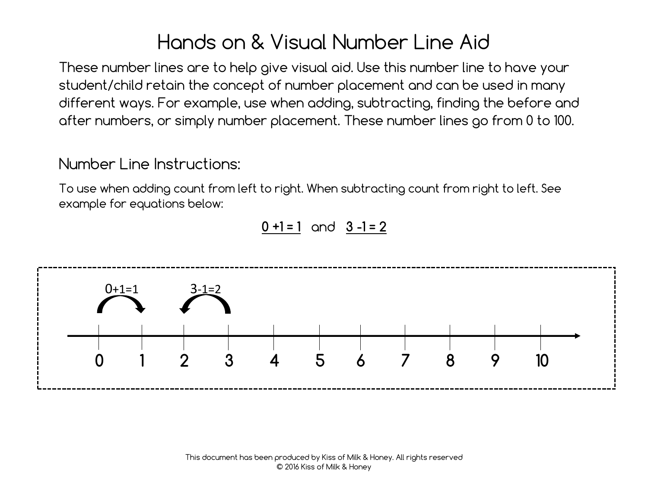# Hands on & Visual Number Line Aid

These number lines are to help give visual aid. Use this number line to have your student/child retain the concept of number placement and can be used in many different ways. For example, use when adding, subtracting, finding the before and after numbers, or simply number placement. These number lines go from 0 to 100.

Number Line Instructions:

To use when adding count from left to right. When subtracting count from right to left. See example for equations below:

 $0 + 1 = 1$  and  $3 - 1 = 2$ 

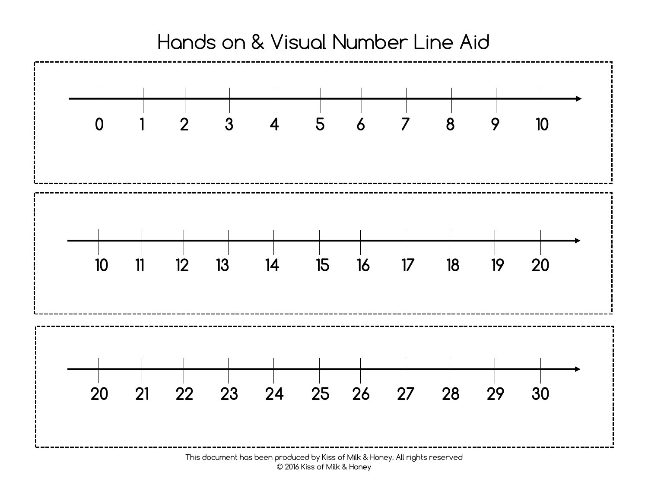

This document has been produced by Kiss of Milk & Honey. All rights reserved © 2016 Kiss of Milk & Honey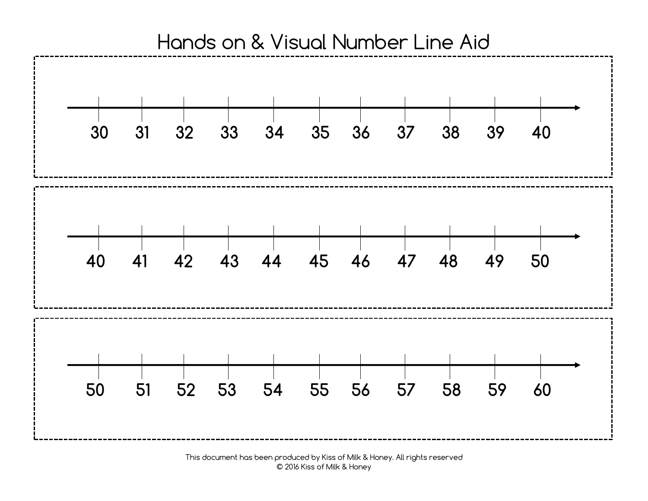

This document has been produced by Kiss of Milk & Honey. All rights reserved © 2016 Kiss of Milk & Honey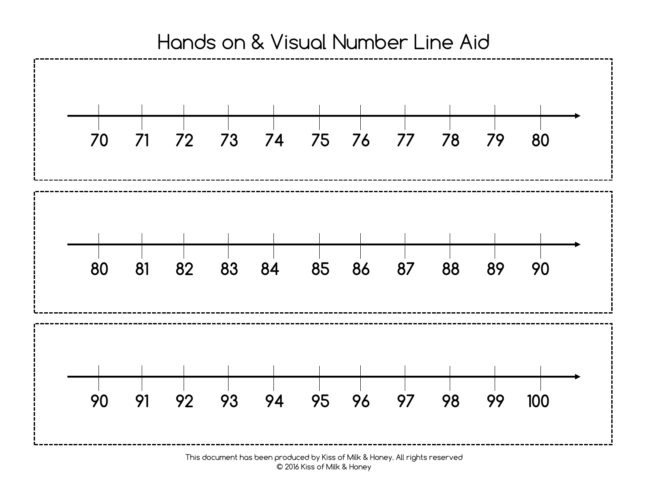

This document has been produced by Kiss of Milk & Honey. All rights reserved © 2016 Kiss of Milk & Honey